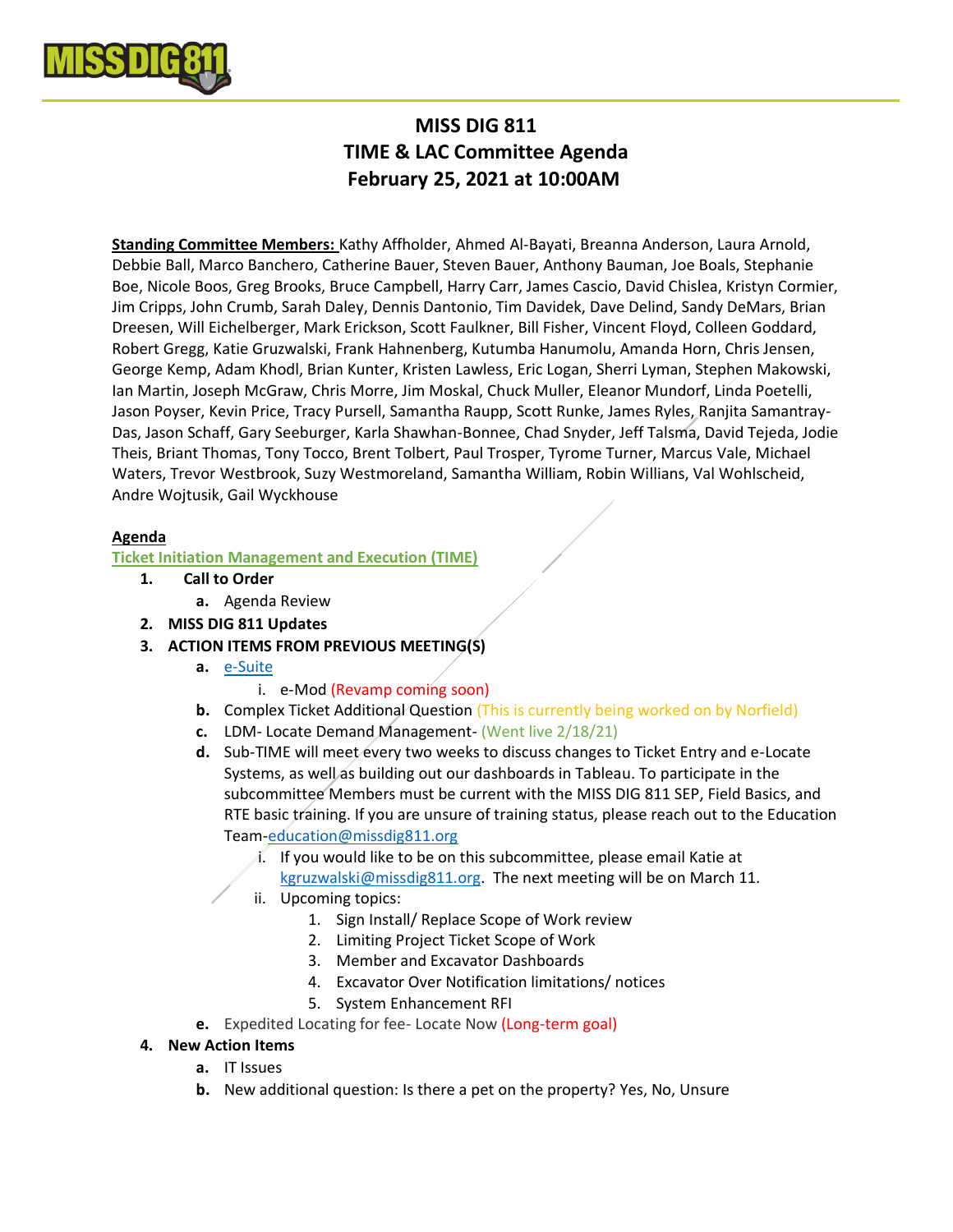

# **MISS DIG 811 TIME & LAC Committee Agenda February 25, 2021 at 10:00AM**

**Standing Committee Members:** Kathy Affholder, Ahmed Al-Bayati, Breanna Anderson, Laura Arnold, Debbie Ball, Marco Banchero, Catherine Bauer, Steven Bauer, Anthony Bauman, Joe Boals, Stephanie Boe, Nicole Boos, Greg Brooks, Bruce Campbell, Harry Carr, James Cascio, David Chislea, Kristyn Cormier, Jim Cripps, John Crumb, Sarah Daley, Dennis Dantonio, Tim Davidek, Dave Delind, Sandy DeMars, Brian Dreesen, Will Eichelberger, Mark Erickson, Scott Faulkner, Bill Fisher, Vincent Floyd, Colleen Goddard, Robert Gregg, Katie Gruzwalski, Frank Hahnenberg, Kutumba Hanumolu, Amanda Horn, Chris Jensen, George Kemp, Adam Khodl, Brian Kunter, Kristen Lawless, Eric Logan, Sherri Lyman, Stephen Makowski, Ian Martin, Joseph McGraw, Chris Morre, Jim Moskal, Chuck Muller, Eleanor Mundorf, Linda Poetelli, Jason Poyser, Kevin Price, Tracy Pursell, Samantha Raupp, Scott Runke, James Ryles, Ranjita Samantray-Das, Jason Schaff, Gary Seeburger, Karla Shawhan-Bonnee, Chad Snyder, Jeff Talsma, David Tejeda, Jodie Theis, Briant Thomas, Tony Tocco, Brent Tolbert, Paul Trosper, Tyrome Turner, Marcus Vale, Michael Waters, Trevor Westbrook, Suzy Westmoreland, Samantha William, Robin Willians, Val Wohlscheid, Andre Wojtusik, Gail Wyckhouse

# **Agenda**

### **Ticket Initiation Management and Execution (TIME)**

- **1. Call to Order**
	- **a.** Agenda Review
- **2. MISS DIG 811 Updates**
- **3. ACTION ITEMS FROM PREVIOUS MEETING(S)**
	- **a.** e-Suite
		- i. e-Mod (Revamp coming soon)
	- **b.** Complex Ticket Additional Question (This is currently being worked on by Norfield)
	- **c.** LDM- Locate Demand Management- (Went live 2/18/21)
	- **d.** Sub-TIME will meet every two weeks to discuss changes to Ticket Entry and e-Locate Systems, as well as building out our dashboards in Tableau. To participate in the subcommittee Members must be current with the MISS DIG 811 SEP, Field Basics, and RTE basic training. If you are unsure of training status, please reach out to the Education Team-education@missdig811.org
		- i. If you would like to be on this subcommittee, please email Katie at kgruzwalski@missdig811.org. The next meeting will be on March 11.
		- ii. Upcoming topics:
			- 1. Sign Install/ Replace Scope of Work review
				- 2. Limiting Project Ticket Scope of Work
				- 3. Member and Excavator Dashboards
				- 4. Excavator Over Notification limitations/ notices
				- 5. System Enhancement RFI
	- **e.** Expedited Locating for fee- Locate Now (Long-term goal)

# **4. New Action Items**

- **a.** IT Issues
- **b.** New additional question: Is there a pet on the property? Yes, No, Unsure